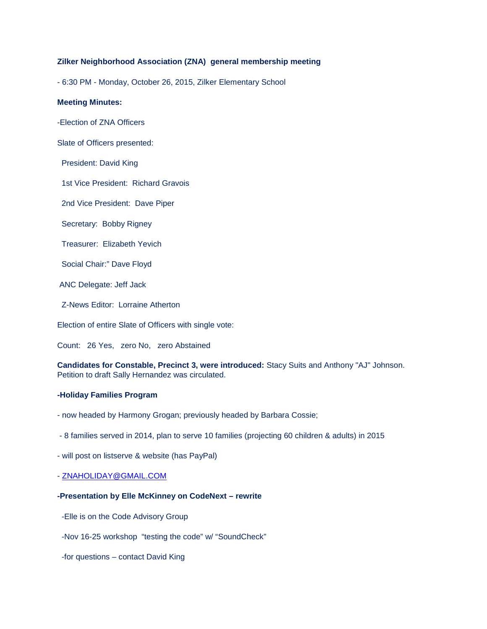# **Zilker Neighborhood Association (ZNA) general membership meeting**

- 6:30 PM - Monday, October 26, 2015, Zilker Elementary School

#### **Meeting Minutes:**

-Election of ZNA Officers

Slate of Officers presented:

President: David King

1st Vice President: Richard Gravois

2nd Vice President: Dave Piper

Secretary: Bobby Rigney

Treasurer: Elizabeth Yevich

Social Chair:" Dave Floyd

ANC Delegate: Jeff Jack

Z-News Editor: Lorraine Atherton

Election of entire Slate of Officers with single vote:

Count: 26 Yes, zero No, zero Abstained

**Candidates for Constable, Precinct 3, were introduced:** Stacy Suits and Anthony "AJ" Johnson. Petition to draft Sally Hernandez was circulated.

### **-Holiday Families Program**

- now headed by Harmony Grogan; previously headed by Barbara Cossie;

- 8 families served in 2014, plan to serve 10 families (projecting 60 children & adults) in 2015

- will post on listserve & website (has PayPal)

- [ZNAHOLIDAY@GMAIL.COM](mailto:ZNAHOLIDAY@GMAIL.COM)

### **-Presentation by Elle McKinney on CodeNext – rewrite**

-Elle is on the Code Advisory Group

-Nov 16-25 workshop "testing the code" w/ "SoundCheck"

-for questions – contact David King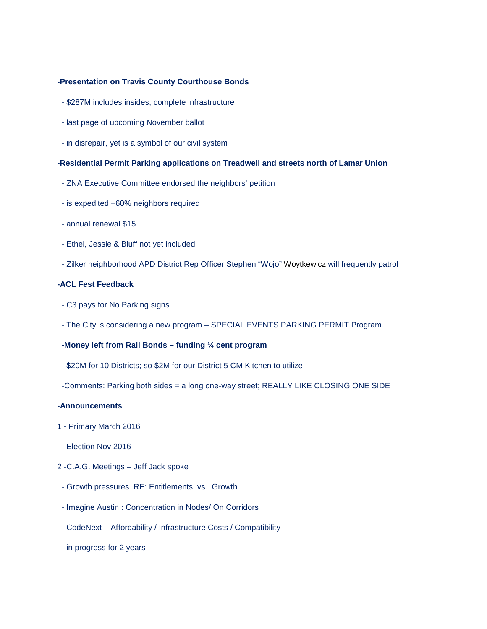#### **-Presentation on Travis County Courthouse Bonds**

- \$287M includes insides; complete infrastructure
- last page of upcoming November ballot
- in disrepair, yet is a symbol of our civil system

### **-Residential Permit Parking applications on Treadwell and streets north of Lamar Union**

- ZNA Executive Committee endorsed the neighbors' petition
- is expedited –60% neighbors required
- annual renewal \$15
- Ethel, Jessie & Bluff not yet included
- Zilker neighborhood APD District Rep Officer Stephen "Wojo" Woytkewicz will frequently patrol

## **-ACL Fest Feedback**

- C3 pays for No Parking signs
- The City is considering a new program SPECIAL EVENTS PARKING PERMIT Program.

# **-Money left from Rail Bonds – funding ¼ cent program**

- \$20M for 10 Districts; so \$2M for our District 5 CM Kitchen to utilize
- -Comments: Parking both sides = a long one-way street; REALLY LIKE CLOSING ONE SIDE

## **-Announcements**

- 1 Primary March 2016
- Election Nov 2016
- 2 -C.A.G. Meetings Jeff Jack spoke
- Growth pressures RE: Entitlements vs. Growth
- Imagine Austin : Concentration in Nodes/ On Corridors
- CodeNext Affordability / Infrastructure Costs / Compatibility
- in progress for 2 years